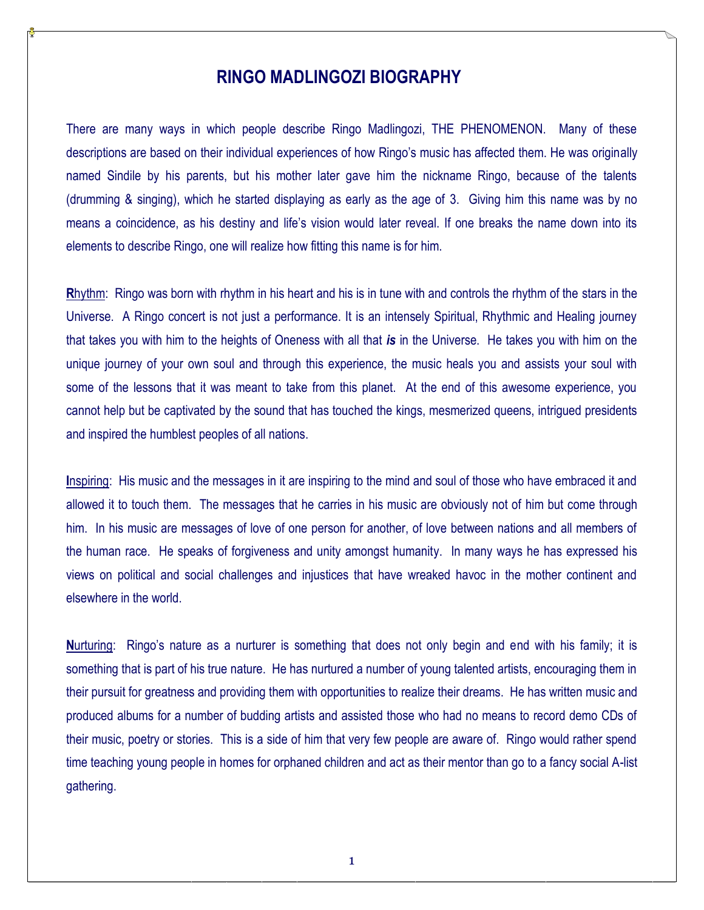# **RINGO MADLINGOZI BIOGRAPHY**

There are many ways in which people describe Ringo Madlingozi, THE PHENOMENON. Many of these descriptions are based on their individual experiences of how Ringo's music has affected them. He was originally named Sindile by his parents, but his mother later gave him the nickname Ringo, because of the talents (drumming & singing), which he started displaying as early as the age of 3. Giving him this name was by no means a coincidence, as his destiny and life's vision would later reveal. If one breaks the name down into its elements to describe Ringo, one will realize how fitting this name is for him.

**R**hythm: Ringo was born with rhythm in his heart and his is in tune with and controls the rhythm of the stars in the Universe. A Ringo concert is not just a performance. It is an intensely Spiritual, Rhythmic and Healing journey that takes you with him to the heights of Oneness with all that *is* in the Universe. He takes you with him on the unique journey of your own soul and through this experience, the music heals you and assists your soul with some of the lessons that it was meant to take from this planet. At the end of this awesome experience, you cannot help but be captivated by the sound that has touched the kings, mesmerized queens, intrigued presidents and inspired the humblest peoples of all nations.

**I**nspiring: His music and the messages in it are inspiring to the mind and soul of those who have embraced it and allowed it to touch them. The messages that he carries in his music are obviously not of him but come through him. In his music are messages of love of one person for another, of love between nations and all members of the human race. He speaks of forgiveness and unity amongst humanity. In many ways he has expressed his views on political and social challenges and injustices that have wreaked havoc in the mother continent and elsewhere in the world.

**N**urturing: Ringo's nature as a nurturer is something that does not only begin and end with his family; it is something that is part of his true nature. He has nurtured a number of young talented artists, encouraging them in their pursuit for greatness and providing them with opportunities to realize their dreams. He has written music and produced albums for a number of budding artists and assisted those who had no means to record demo CDs of their music, poetry or stories. This is a side of him that very few people are aware of. Ringo would rather spend time teaching young people in homes for orphaned children and act as their mentor than go to a fancy social A-list gathering.

1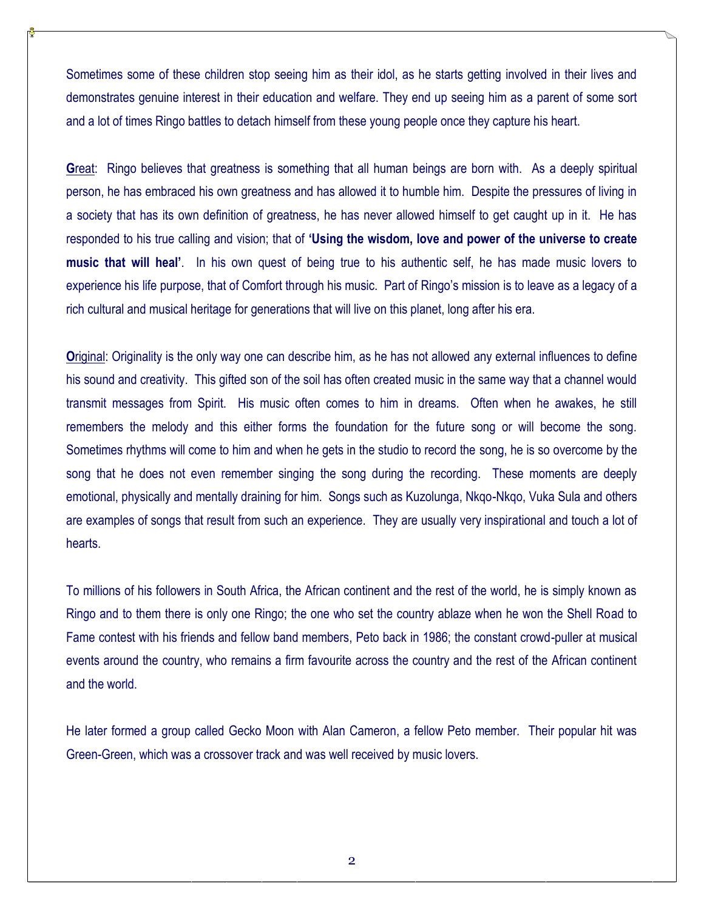Sometimes some of these children stop seeing him as their idol, as he starts getting involved in their lives and demonstrates genuine interest in their education and welfare. They end up seeing him as a parent of some sort and a lot of times Ringo battles to detach himself from these young people once they capture his heart.

**G**reat: Ringo believes that greatness is something that all human beings are born with. As a deeply spiritual person, he has embraced his own greatness and has allowed it to humble him. Despite the pressures of living in a society that has its own definition of greatness, he has never allowed himself to get caught up in it. He has responded to his true calling and vision; that of **'Using the wisdom, love and power of the universe to create music that will heal'**. In his own quest of being true to his authentic self, he has made music lovers to experience his life purpose, that of Comfort through his music. Part of Ringo's mission is to leave as a legacy of a rich cultural and musical heritage for generations that will live on this planet, long after his era.

**O**riginal: Originality is the only way one can describe him, as he has not allowed any external influences to define his sound and creativity. This gifted son of the soil has often created music in the same way that a channel would transmit messages from Spirit. His music often comes to him in dreams. Often when he awakes, he still remembers the melody and this either forms the foundation for the future song or will become the song. Sometimes rhythms will come to him and when he gets in the studio to record the song, he is so overcome by the song that he does not even remember singing the song during the recording. These moments are deeply emotional, physically and mentally draining for him. Songs such as Kuzolunga, Nkqo-Nkqo, Vuka Sula and others are examples of songs that result from such an experience. They are usually very inspirational and touch a lot of hearts.

To millions of his followers in South Africa, the African continent and the rest of the world, he is simply known as Ringo and to them there is only one Ringo; the one who set the country ablaze when he won the Shell Road to Fame contest with his friends and fellow band members, Peto back in 1986; the constant crowd-puller at musical events around the country, who remains a firm favourite across the country and the rest of the African continent and the world.

He later formed a group called Gecko Moon with Alan Cameron, a fellow Peto member. Their popular hit was Green-Green, which was a crossover track and was well received by music lovers.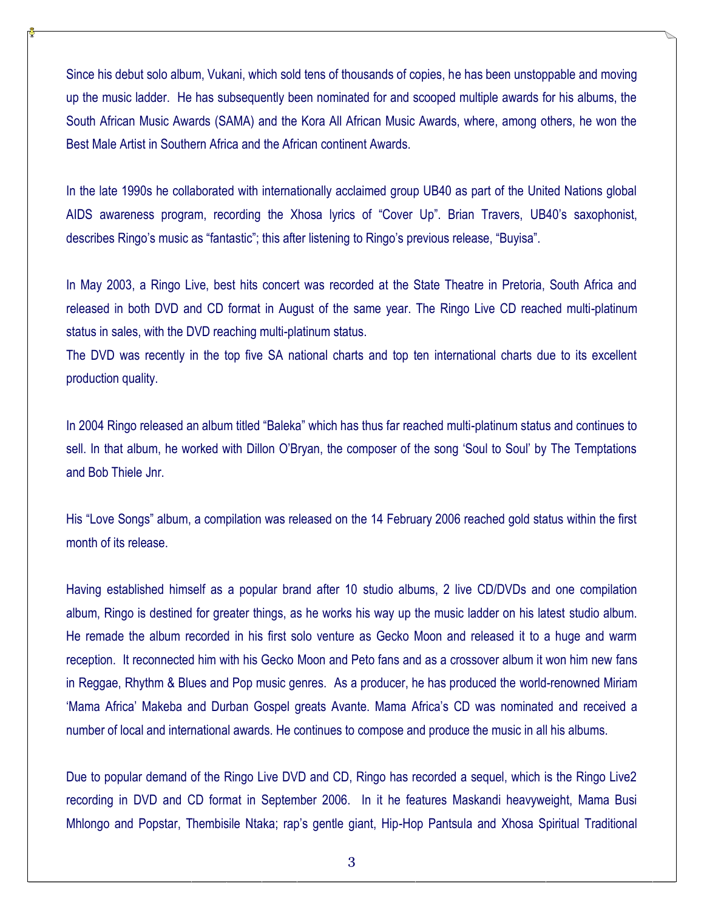Since his debut solo album, Vukani, which sold tens of thousands of copies, he has been unstoppable and moving up the music ladder. He has subsequently been nominated for and scooped multiple awards for his albums, the South African Music Awards (SAMA) and the Kora All African Music Awards, where, among others, he won the Best Male Artist in Southern Africa and the African continent Awards.

In the late 1990s he collaborated with internationally acclaimed group UB40 as part of the United Nations global AIDS awareness program, recording the Xhosa lyrics of "Cover Up". Brian Travers, UB40's saxophonist, describes Ringo's music as "fantastic"; this after listening to Ringo's previous release, "Buyisa".

In May 2003, a Ringo Live, best hits concert was recorded at the State Theatre in Pretoria, South Africa and released in both DVD and CD format in August of the same year. The Ringo Live CD reached multi-platinum status in sales, with the DVD reaching multi-platinum status.

The DVD was recently in the top five SA national charts and top ten international charts due to its excellent production quality.

In 2004 Ringo released an album titled "Baleka" which has thus far reached multi-platinum status and continues to sell. In that album, he worked with Dillon O'Bryan, the composer of the song 'Soul to Soul' by The Temptations and Bob Thiele Jnr.

His "Love Songs" album, a compilation was released on the 14 February 2006 reached gold status within the first month of its release.

Having established himself as a popular brand after 10 studio albums, 2 live CD/DVDs and one compilation album, Ringo is destined for greater things, as he works his way up the music ladder on his latest studio album. He remade the album recorded in his first solo venture as Gecko Moon and released it to a huge and warm reception. It reconnected him with his Gecko Moon and Peto fans and as a crossover album it won him new fans in Reggae, Rhythm & Blues and Pop music genres. As a producer, he has produced the world-renowned Miriam 'Mama Africa' Makeba and Durban Gospel greats Avante. Mama Africa's CD was nominated and received a number of local and international awards. He continues to compose and produce the music in all his albums.

Due to popular demand of the Ringo Live DVD and CD, Ringo has recorded a sequel, which is the Ringo Live2 recording in DVD and CD format in September 2006. In it he features Maskandi heavyweight, Mama Busi Mhlongo and Popstar, Thembisile Ntaka; rap's gentle giant, Hip-Hop Pantsula and Xhosa Spiritual Traditional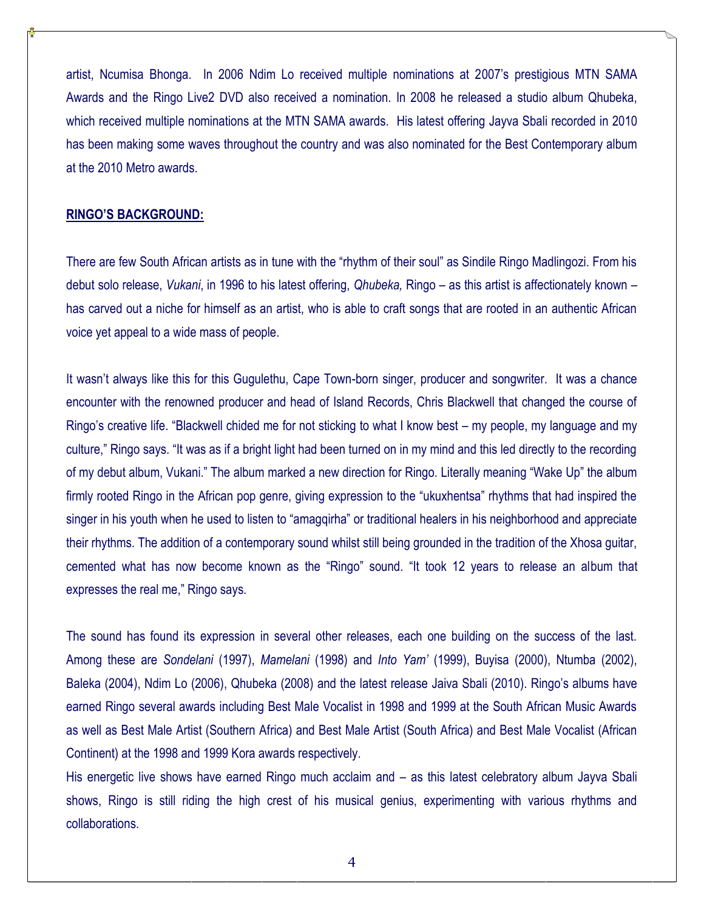artist, Ncumisa Bhonga. In 2006 Ndim Lo received multiple nominations at 2007's prestigious MTN SAMA Awards and the Ringo Live2 DVD also received a nomination. In 2008 he released a studio album Qhubeka, which received multiple nominations at the MTN SAMA awards. His latest offering Jayva Sbali recorded in 2010 has been making some waves throughout the country and was also nominated for the Best Contemporary album at the 2010 Metro awards.

#### **RINGO'S BACKGROUND:**

There are few South African artists as in tune with the "rhythm of their soul" as Sindile Ringo Madlingozi. From his debut solo release, *Vukani*, in 1996 to his latest offering, *Qhubeka,* Ringo – as this artist is affectionately known – has carved out a niche for himself as an artist, who is able to craft songs that are rooted in an authentic African voice yet appeal to a wide mass of people.

It wasn't always like this for this Gugulethu, Cape Town-born singer, producer and songwriter. It was a chance encounter with the renowned producer and head of Island Records, Chris Blackwell that changed the course of Ringo's creative life. "Blackwell chided me for not sticking to what I know best – my people, my language and my culture," Ringo says. "It was as if a bright light had been turned on in my mind and this led directly to the recording of my debut album, Vukani." The album marked a new direction for Ringo. Literally meaning "Wake Up" the album firmly rooted Ringo in the African pop genre, giving expression to the "ukuxhentsa" rhythms that had inspired the singer in his youth when he used to listen to "amagqirha" or traditional healers in his neighborhood and appreciate their rhythms. The addition of a contemporary sound whilst still being grounded in the tradition of the Xhosa guitar, cemented what has now become known as the "Ringo" sound. "It took 12 years to release an album that expresses the real me," Ringo says.

The sound has found its expression in several other releases, each one building on the success of the last. Among these are *Sondelani* (1997), *Mamelani* (1998) and *Into Yam'* (1999), Buyisa (2000), Ntumba (2002), Baleka (2004), Ndim Lo (2006), Qhubeka (2008) and the latest release Jaiva Sbali (2010). Ringo's albums have earned Ringo several awards including Best Male Vocalist in 1998 and 1999 at the South African Music Awards as well as Best Male Artist (Southern Africa) and Best Male Artist (South Africa) and Best Male Vocalist (African Continent) at the 1998 and 1999 Kora awards respectively.

His energetic live shows have earned Ringo much acclaim and – as this latest celebratory album Jayva Sbali shows, Ringo is still riding the high crest of his musical genius, experimenting with various rhythms and collaborations.

4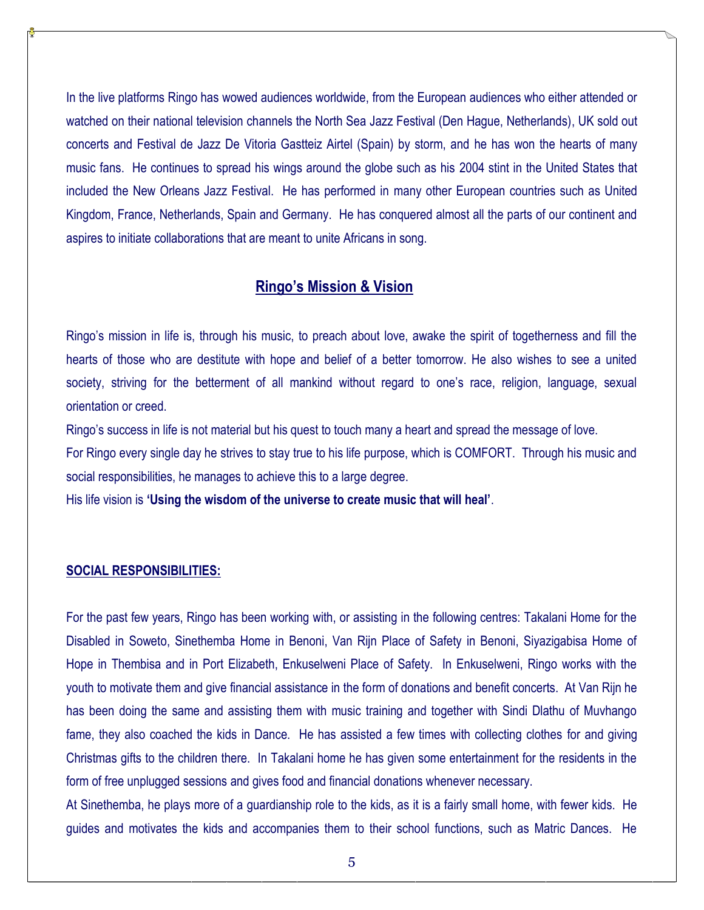In the live platforms Ringo has wowed audiences worldwide, from the European audiences who either attended or watched on their national television channels the North Sea Jazz Festival (Den Hague, Netherlands), UK sold out concerts and Festival de Jazz De Vitoria Gastteiz Airtel (Spain) by storm, and he has won the hearts of many music fans. He continues to spread his wings around the globe such as his 2004 stint in the United States that included the New Orleans Jazz Festival. He has performed in many other European countries such as United Kingdom, France, Netherlands, Spain and Germany. He has conquered almost all the parts of our continent and aspires to initiate collaborations that are meant to unite Africans in song.

## **Ringo's Mission & Vision**

Ringo's mission in life is, through his music, to preach about love, awake the spirit of togetherness and fill the hearts of those who are destitute with hope and belief of a better tomorrow. He also wishes to see a united society, striving for the betterment of all mankind without regard to one's race, religion, language, sexual orientation or creed.

Ringo's success in life is not material but his quest to touch many a heart and spread the message of love.

For Ringo every single day he strives to stay true to his life purpose, which is COMFORT. Through his music and social responsibilities, he manages to achieve this to a large degree.

His life vision is **'Using the wisdom of the universe to create music that will heal'**.

### **SOCIAL RESPONSIBILITIES:**

For the past few years, Ringo has been working with, or assisting in the following centres: Takalani Home for the Disabled in Soweto, Sinethemba Home in Benoni, Van Rijn Place of Safety in Benoni, Siyazigabisa Home of Hope in Thembisa and in Port Elizabeth, Enkuselweni Place of Safety. In Enkuselweni, Ringo works with the youth to motivate them and give financial assistance in the form of donations and benefit concerts. At Van Rijn he has been doing the same and assisting them with music training and together with Sindi Dlathu of Muvhango fame, they also coached the kids in Dance. He has assisted a few times with collecting clothes for and giving Christmas gifts to the children there. In Takalani home he has given some entertainment for the residents in the form of free unplugged sessions and gives food and financial donations whenever necessary.

At Sinethemba, he plays more of a guardianship role to the kids, as it is a fairly small home, with fewer kids. He guides and motivates the kids and accompanies them to their school functions, such as Matric Dances. He